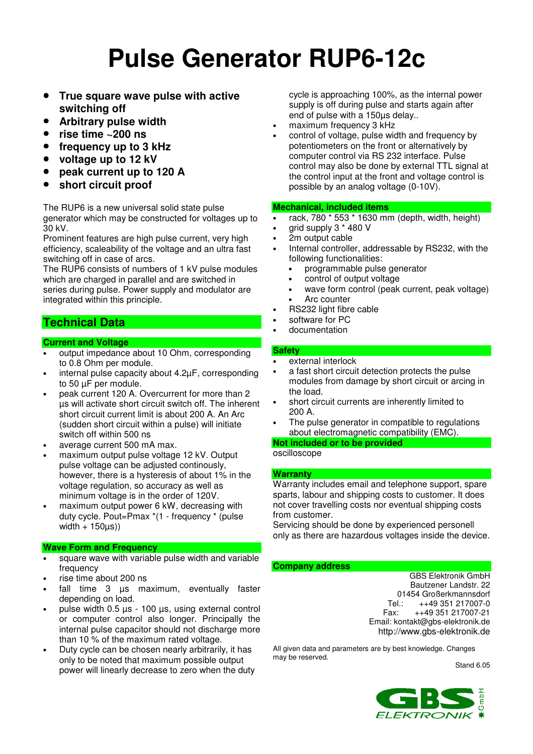# **Pulse Generator RUP6-12c**

- **True square wave pulse with active switching off**
- **Arbitrary pulse width**
- **rise time ~200 ns**
- **frequency up to 3 kHz**
- **voltage up to 12 kV**
- **peak current up to 120 A**
- **short circuit proof**

The RUP6 is a new universal solid state pulse generator which may be constructed for voltages up to 30 kV.

Prominent features are high pulse current, very high efficiency, scaleability of the voltage and an ultra fast switching off in case of arcs.

The RUP6 consists of numbers of 1 kV pulse modules which are charged in parallel and are switched in series during pulse. Power supply and modulator are integrated within this principle.

## **Technical Data**

#### **Current and Voltage**

- output impedance about 10 Ohm, corresponding to 0.8 Ohm per module.
- internal pulse capacity about  $4.2\mu$ F, corresponding to 50 µF per module.
- peak current 120 A. Overcurrent for more than 2 µs will activate short circuit switch off. The inherent short circuit current limit is about 200 A. An Arc (sudden short circuit within a pulse) will initiate switch off within 500 ns
- average current 500 mA max.
- maximum output pulse voltage 12 kV. Output pulse voltage can be adjusted continously, however, there is a hysteresis of about 1% in the voltage regulation, so accuracy as well as minimum voltage is in the order of 120V.
- maximum output power 6 kW, decreasing with duty cycle. Pout=Pmax \*(1 - frequency \* (pulse width  $+ 150\mu s$ )

#### **Wave Form and Frequency**

- square wave with variable pulse width and variable frequency
- rise time about 200 ns
- fall time  $3$   $\mu s$  maximum, eventually faster depending on load.
- pulse width  $0.5 \mu s$  100  $\mu s$ , using external control or computer control also longer. Principally the internal pulse capacitor should not discharge more than 10 % of the maximum rated voltage.
- Duty cycle can be chosen nearly arbitrarily, it has only to be noted that maximum possible output power will linearly decrease to zero when the duty

cycle is approaching 100%, as the internal power supply is off during pulse and starts again after end of pulse with a 150µs delay..

- maximum frequency 3 kHz
- control of voltage, pulse width and frequency by potentiometers on the front or alternatively by computer control via RS 232 interface. Pulse control may also be done by external TTL signal at the control input at the front and voltage control is possible by an analog voltage (0-10V).

#### **Mechanical, included items**

- rack, 780 \* 553 \* 1630 mm (depth, width, height)
- grid supply 3 \* 480 V
- 2m output cable
- Internal controller, addressable by RS232, with the following functionalities:
	- programmable pulse generator
	- control of output voltage
	- wave form control (peak current, peak voltage) Arc counter
	- RS232 light fibre cable
- software for PC
- documentation

#### **Safety**

- external interlock
- a fast short circuit detection protects the pulse modules from damage by short circuit or arcing in the load.
- short circuit currents are inherently limited to 200 A.
- The pulse generator in compatible to regulations about electromagnetic compatibility (EMC).

**Not included or to be provided**

#### oscilloscope

#### **Warranty**

Warranty includes email and telephone support, spare sparts, labour and shipping costs to customer. It does not cover travelling costs nor eventual shipping costs from customer.

Servicing should be done by experienced personell only as there are hazardous voltages inside the device.

#### **Company address**

GBS Elektronik GmbH Bautzener Landstr. 22 01454 Großerkmannsdorf<br>Tel.: ++49 351 217007-0 Tel.: ++49 351 217007-0 Fax: ++49 351 217007-21 Email: kontakt@gbs-elektronik.de http://www.gbs-elektronik.de

All given data and parameters are by best knowledge. Changes may be reserved.

Stand 6.05

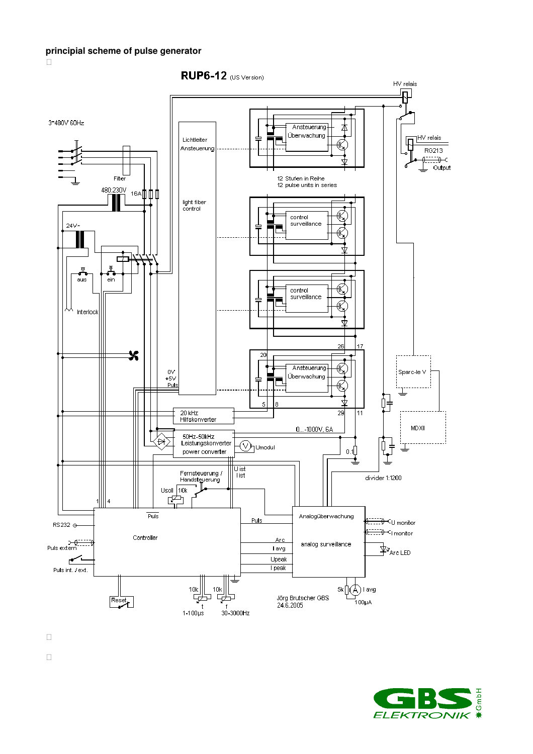

RUP6-12 (US Version)